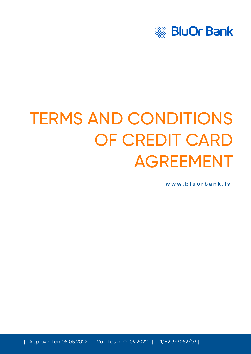

# TERMS AND CONDITIONS OF CREDIT CARD AGREEMENT

**[www.bluorbank.lv](https://www.bluorbank.lv/en/index)**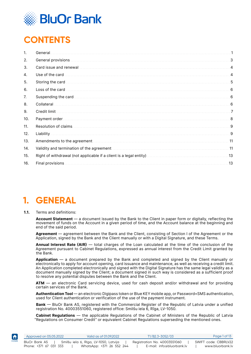

# <span id="page-1-0"></span>**CONTENTS**

| 1.  | General.                                                                                |     |
|-----|-----------------------------------------------------------------------------------------|-----|
| 2.  |                                                                                         | 3   |
| 3.  |                                                                                         | 4   |
| 4.  |                                                                                         | 4   |
| 5.  | Storing the card                                                                        | 5   |
| 6.  |                                                                                         |     |
| 7.  |                                                                                         | 6   |
| 8.  | Collateral.                                                                             | 6   |
| 9.  | Credit limit.                                                                           | 7   |
| 10. |                                                                                         |     |
| 11. |                                                                                         | 9   |
| 12. |                                                                                         | 9   |
| 13. |                                                                                         | 11  |
| 14. | Validity and termination of the agreement manufacture in the control of the state of 11 |     |
| 15. |                                                                                         | .13 |
| 16. |                                                                                         | .13 |

# **1. GENERAL**

#### **1.1.** Terms and definitions:

**Account Statement** — a document issued by the Bank to the Client in paper form or digitally, reflecting the movement of funds on the Account in a given period of time, and the Account balance at the beginning and end of the said period.

**Agreement** — agreement between the Bank and the Client, consisting of Section I of the Agreement or the Application, signed by the Bank and the Client manually or with a Digital Signature, and these Terms.

**Annual Interest Rate (AIR)** — total charges of the Loan calculated at the time of the conclusion of the Agreement pursuant to Cabinet Regulations, expressed as annual interest from the Credit Limit granted by the Bank.

**Application** — a document prepared by the Bank and completed and signed by the Client manually or electronically to apply for account opening, card issuance and maintenance, as well as receiving a credit limit. An Application completed electronically and signed with the Digital Signature has the same legal validity as a document manually signed by the Client; a document signed in such way is considered as a sufficient proof to resolve any potential disputes between the Bank and the Client.

**ATM** — an electronic Card servicing device, used for cash deposit and/or withdrawal and for providing certain services of the Bank.

**Authentication Tool** — an electronic Digipass token or Blue KEY mobile app, or Password+SMS authentication, used for Client authentication or verification of the use of the payment instrument.

**Bank** — BluOr Bank AS, registered with the Commercial Register of the Republic of Latvia under a unified registration No. 40003551060, registered office: Smilšu iela 6, Rīga, LV-1050.

**Cabinet Regulations** — the applicable Regulations of the Cabinet of Ministers of the Republic of Latvia "Regulations on Consumer Credit" or equivalent Cabinet Regulations superseding the mentioned ones.

| $\blacktriangleleft$ | Approved on 05.05.2022 | Valid as of 01.09.2022                | T1/B2.3-3052/03              | Page 1 of 13         |
|----------------------|------------------------|---------------------------------------|------------------------------|----------------------|
| HOME                 | BluOr Bank AS          | Smilšu iela 6, Rīga, LV-1050, Latvija | Registration No. 40003551060 | SWIFT code: CBBRLV22 |
|                      | Phone: +371 67 031 333 | WhatsApp: +371 26 552 244             | E-mail: info@bluorbank.lv    | www.bluorbank.lv     |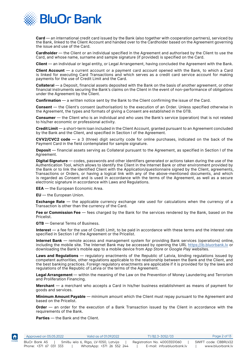

**Card** — an international credit card issued by the Bank (also together with cooperation partners), serviced by the Bank, linked to the Client Account and handed over to the Cardholder based on the Agreement governing the issue and use of the Card.

**Cardholder** — the Client or an individual specified in the Agreement and authorised by the Client to use the Card, and whose name, surname and sample signature (if provided) is specified on the Card.

**Client** — an individual or legal entity, or Legal Arrangement, having concluded the Agreement with the Bank.

**Client Account** — a current account or a payment card account opened with the Bank, to which a Card is linked for executing Card Transactions and which serves as a credit card service account for making payments for the use of Credit Limit and the Card.

**Collateral** — a Deposit, financial assets deposited with the Bank on the basis of another agreement, or other financial instruments securing the Bank's claims on the Client in the event of non-performance of obligations under the Agreement by the Client.

**Confirmation** — a written notice sent by the Bank to the Client confirming the issue of the Card.

**Consent** — the Client's consent (authorisation) to the execution of an Order. Unless specified otherwise in the Agreement, the types and formats of giving a Consent are established in the GTB.

**Consumer** — the Client who is an individual and who uses the Bank's service (operation) that is not related to his/her economic or professional activity.

**Credit Limit** — a short-term loan included in the Client Account, granted pursuant to an Agreement concluded by the Bank and the Client, and specified in Section I of the Agreement.

**CVV2/CVC2 code** — a 3 (three) digit security code for online purchases, indicated on the back of the Payment Card in the field contemplated for sample signature.

**Deposit** — financial assets serving as Collateral pursuant to the Agreement, as specified in Section I of the Agreement.

**Digital Signature** — codes, passwords and other identifiers generated or actions taken during the use of the Authentication Tool, which allows to identify the Client in the Internet Bank or other environment provided by the Bank or to link the identified Client with the Application/questionnaire signed by the Client, agreements, Transactions or Orders, or having a logical link with any of the above-mentioned documents, and which is regarded as Consent and is used in accordance with the terms of the Agreement, as well as a secure electronic signature in accordance with Laws and Regulations.

**EEA** — the European Economic Area.

**EU** — the European Union.

**Exchange Rate** — the applicable currency exchange rate used for calculations when the currency of a Transaction is other than the currency of the Card.

**Fee or Commission Fee** — fees charged by the Bank for the services rendered by the Bank, based on the Pricelist.

**GTB** — General Terms of Business.

**Interest** — a fee for the use of Credit Limit, to be paid in accordance with these terms and the interest rate specified in Section I of the Agreement or the Pricelist.

**Internet Bank** — remote access and management system for providing Bank services (operations) online, including the mobile site. The Internet Bank may be accessed by opening the URL https://ib.bluorbank.ly or downloading the Bank's mobile app to a mobile device from *App Store* or *Google Play* websites.

**Laws and Regulations** — regulatory enactments of the Republic of Latvia, binding regulations issued by competent authorities, other regulations applicable to the relationship between the Bank and the Client, and the best banking practices. Foreign regulatory enactments are applicable if it is provided for by the laws and regulations of the Republic of Latvia or the terms of the Agreement.

**Legal Arrangement** — within the meaning of the Law on the Prevention of Money Laundering and Terrorism and Proliferation Financing.

**Merchant** — a merchant who accepts a Card in his/her business establishment as means of payment for goods and services.

**Minimum Amount Payable** — minimum amount which the Client must repay pursuant to the Agreement and based on the Pricelist.

**Order** — an order for the execution of a Bank Transaction issued by the Client in accordance with the requirements of the Bank.

**Parties** — the Bank and the Client.

| $\blacktriangleleft$ | Approved on 05.05.2022 | Valid as of 01.09.2022                | T1/B2.3-3052/03              | Page 2 of 13         |
|----------------------|------------------------|---------------------------------------|------------------------------|----------------------|
| номе                 | BluOr Bank AS          | Smilšu iela 6, Rīga, LV-1050, Latvija | Registration No. 40003551060 | SWIFT code: CBBRLV22 |
|                      | Phone: +371 67 031 333 | WhatsApp: +371 26 552 244             | E-mail: info@bluorbank.lv    | www.bluorbank.lv     |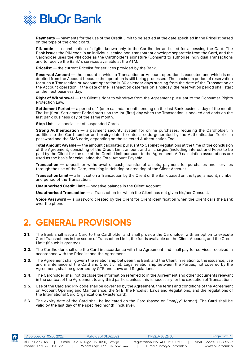<span id="page-3-0"></span>

**Payments** — payments for the use of the Credit Limit to be settled at the date specified in the Pricelist based on the type of the credit card.

PIN code - a combination of digits, known only to the Cardholder and used for accessing the Card. The Bank issues the PIN code in an individual sealed non-transparent envelope separately from the Card, and the Cardholder uses the PIN code as the Cardholder's signature (Consent) to authorise individual Transactions and to receive the Bank' s services available at the ATM.

**Pricelist** — the current Pricelist for services provided by the Bank.

**Reserved Amount** — the amount in which a Transaction or Account operation is executed and which is not debited from the Account because the operation is still being processed. The maximum period of reservation for such a Transaction or Account operation is 30 calendar days starting from the date of the Transaction or the Account operation. If the date of the Transaction date falls on a holiday, the reservation period shall start on the next business day.

**Right of Withdrawal** — the Client's right to withdraw from the Agreement pursuant to the Consumer Rights Protection Law.

**Settlement Period** — a period of 1 (one) calendar month, ending on the last Bank business day of the month. The 1st (first) Settlement Period starts on the 1st (first) day when the Transaction is booked and ends on the last Bank business day of the same month.

**Stop List** — a special list of suspended Cards.

**Strong Authentication** — a payment security system for online purchases, requiring the Cardholder, in addition to the Card number and expiry date, to enter a code generated by the Authentication Tool or a password and the SMS code, depending on the selected Authentication Tool.

**Total Amount Payable** — the amount calculated pursuant to Cabinet Regulations at the time of the conclusion of the Agreement, consisting of the Credit Limit amount and all charges (including interest and Fees) to be paid by the Client for the use of the Credit Limit pursuant to the Agreement. AIR calculation assumptions are used as the basis for calculating the Total Amount Payable.

**Transaction** — deposit or withdrawal of cash, transfer of assets, payment for purchases and services through the use of the Card, resulting in debiting or crediting of the Client Account.

**Transaction Limit** — a limit set on a Transaction by the Client or the Bank based on the type, amount, number and period of the Transaction.

Unauthorised Credit Limit - negative balance in the Client Account.

**Unauthorised Transaction** — a Transaction for which the Client has not given his/her Consent.

**Voice Password** — a password created by the Client for Client identification when the Client calls the Bank over the phone.

# **2. GENERAL PROVISIONS**

- **2.1.** The Bank shall issue a Card to the Cardholder and shall provide the Cardholder with an option to execute Card Transactions in the scope of Transaction Limit, the funds available on the Client Account, and the Credit Limit (if such is granted).
- **2.2.** The Cardholder shall use the Card in accordance with the Agreement and shall pay for services received in accordance with the Pricelist and the Agreement.
- **2.3.** The Agreement shall govern the relationship between the Bank and the Client in relation to the issuance, use and maintenance of the Card and Credit Limit. Legal relationship between the Parties, not covered by the Agreement, shall be governed by GTB and Laws and Regulations.
- **2.4.** The Cardholder shall not disclose the information referred to in the Agreement and other documents relevant in the context of the Agreement to any third parties, unless this is necessary for the execution of Transactions.
- **2.5.** Use of the Card and PIN code shall be governed by the Agreement, the terms and conditions of the Agreement on Account Opening and Maintenance, the GTB, the Pricelist, Laws and Regulations, and the regulations of the International Card Organizations (Mastercard).
- **2.6.** The expiry date of the Card shall be indicated on the Card (based on "mm/yy" format). The Card shall be valid by the last day of the specified month (inclusive).

| $\blacktriangleleft$ | Approved on 05.05.2022                  | Valid as of 01.09.2022                                             |  | T1/B2.3-3052/03                                           | Page 3 of 13                             |
|----------------------|-----------------------------------------|--------------------------------------------------------------------|--|-----------------------------------------------------------|------------------------------------------|
| номе                 | BluOr Bank AS<br>Phone: +371 67 031 333 | Smilšu iela 6, Rīga, LV-1050, Latvija<br>WhatsApp: +371 26 552 244 |  | Registration No. 40003551060<br>E-mail: info@bluorbank.lv | SWIFT code: CBBRLV22<br>www.bluorbank.lv |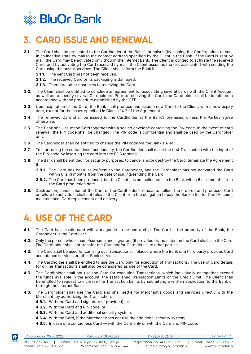<span id="page-4-0"></span>

# **3. CARD ISSUE AND RENEWAL**

- **3.1.** The Card shall be presented to the Cardholder at the Bank's premises (by signing the Confirmation) or sent in an inactive state by mail to the contact address specified by the Client in the Bank. If the Card is sent by mail, the Card may be activated only though the Internet Bank. The Client is obliged to activate the received Card, and by activating the Card received by mail, the Client assumes the risk associated with sending the Card using the postal services. The Client shall inform the Bank if:
	- **3.1.1.** The sent Card has not been received;
	- **3.1.2.** The received Card or its packaging is damaged;
	- **3.1.3.** There are other obstacles to receiving the Card.
- **3.2.** The Client shall be entitled to conclude an agreement for associating several cards with the Client Account, as well as to specify several Cardholders. Prior to receiving the Card, the Cardholder shall be identified in accordance with the procedure established by the GTB.
- **3.3.** Upon expiration of the Card, the Bank shall produce and issue a new Card to the Client, with a new expiry date, except for the cases specified in Clause 14.2 of the Agreement.
- **3.4.** The renewed Card shall be issued to the Cardholder at the Bank's premises, unless the Parties agree otherwise.
- **3.5.** The Bank shall issue the Card together with a sealed envelope containing the PIN code. In the event of card renewal, the PIN code shall be changed. The PIN code is confidential and shall be used by the Cardholder only.
- **3.6.** The Cardholder shall be entitled to change the PIN code via the Bank's ATM.
- **3.7.** To start using the contactless functionality, the Cardholder shall make the first Transaction with the input of the PIN code by inserting the card into the POS terminal.
- **3.8.** The Bank shall be entitled, for security purposes, to cancel and/or destroy the Card, terminate the Agreement if:
	- **3.8.1.** The Card has been issued/sent to the Cardholder, and the Cardholder has not activated the Card within 6 (six) months from the date of issuing/sending the Card;
	- **3.8.2.** The Card has been produced, but the Client has not collected it in the Bank within 6 (six) months from the Card production date.
- **3.9.** Destruction, cancellation of the Card or the Cardholder's refusal to collect the ordered and produced Card or failure to activate it shall not release the Client from the obligation to pay the Bank a fee for Card Account maintenance, Card replacement and delivery.

# **4. USE OF THE CARD**

- **4.1.** The Card is a plastic card with a magnetic stripe and a chip. The Card is the property of the Bank, the Cardholder is the Card user.
- **4.2.** Only the person whose name/surname and signature (if provided) is indicated on the Card shall use the Card. The Cardholder shall not transfer the Card and/or Card details to other parties.
- **4.3.** The Card shall be used for carrying out Transactions in places where the Bank or a third party provides Card acceptance services or other Bank services.
- **4.4.** The Cardholder shall be entitled to use the Card only for execution of Transactions. The use of Card details for online Transactions shall also be considered as use of the Card.
- **4.5.** The Cardholder shall not use the Card for executing Transactions, which individually or together exceed the funds available in the account, the established Transaction Limits or the Credit Limit. The Client shall be entitled to request to increase the Transaction Limits by submitting a written application to the Bank or through the Internet Bank.
- **4.6.** The Cardholder shall use the Card and shall settle for Merchant's goods and services directly with the Merchant, by authorizing the Transaction:
	- **4.6.1.** With the Card and signature (if provided); or
	- **4.6.2.** With the Card and PIN code; or
	- **4.6.3.** With the Card and additional security system;
	- **4.6.4.** With the Card, if the Merchant does not use the additional security system;
	- **4.6.5.** In case of a contactless Card with the Card only or with the Card and PIN code.

| <b>A</b> | Approved on 05.05.2022 | Valid as of 01.09.2022                | T1/B2.3-3052/03              | Page 4 of 13         |
|----------|------------------------|---------------------------------------|------------------------------|----------------------|
| HOME     | BluOr Bank AS          | Smilšu iela 6, Rīga, LV-1050, Latvija | Registration No. 40003551060 | SWIFT code: CBBRLV22 |
|          | Phone: +371 67 031 333 | WhatsApp: +371 26 552 244             | E-mail: info@bluorbank.lv    | www.bluorbank.lv     |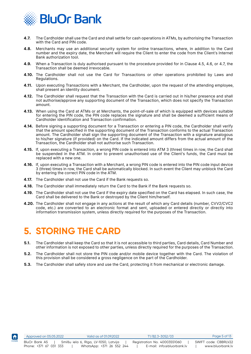<span id="page-5-0"></span>

- **4.7.** The Cardholder shall use the Card and shall settle for cash operations in ATMs, by authorising the Transaction with the Card and PIN code.
- **4.8.** Merchants may use an additional security system for online transactions, where, in addition to the Card number and the expiry date, the Merchant will require the Client to enter the code from the Client's Internet Bank authorization tool.
- **4.9.** When a Transaction is duly authorised pursuant to the procedure provided for in Clause 4.5, 4.6, or 4.7, the Transaction shall be deemed irrevocable.
- **4.10.** The Cardholder shall not use the Card for Transactions or other operations prohibited by Laws and Regulations.
- **4.11.** Upon executing Transactions with a Merchant, the Cardholder, upon the request of the attending employee, shall present an identity document.
- **4.12.** The Cardholder shall request that the Transaction with the Card is carried out in his/her presence and shall not authorise/approve any supporting document of the Transaction, which does not specify the Transaction amount.
- **4.13.** When using the Card at ATMs or at Merchants, the point-of-sale of which is equipped with devices suitable for entering the PIN code, the PIN code replaces the signature and shall be deemed a sufficient means of Cardholder identification and Transaction confirmation.
- **4.14.** Before signing a supporting document for a Transaction or entering a PIN code, the Cardholder shall verify that the amount specified in the supporting document of the Transaction conforms to the actual Transaction amount. The Cardholder shall sign the supporting document of the Transaction with a signature analogous to his/her signature (if provided) on the Card. If the indicated amount differs from the actual amount of the Transaction, the Cardholder shall not authorise such Transaction.
- **4.15.** If, upon executing a Transaction, a wrong PIN code is entered into ATM 3 (three) times in row, the Card shall be suspended in the ATM. In order to prevent unauthorised use of the Client's funds, the Card must be replaced with a new one.
- **4.16.** If, upon executing a Transaction with a Merchant, a wrong PIN code is entered into the PIN code input device 3 (three) times in row, the Card shall be automatically blocked. In such event the Client may unblock the Card by entering the correct PIN code in the ATM.
- **4.17.** The Cardholder shall not use the Card if the Bank requests so.
- **4.18.** The Cardholder shall immediately return the Card to the Bank if the Bank requests so.
- **4.19.** The Cardholder shall not use the Card if the expiry date specified on the Card has elapsed. In such case, the Card shall be delivered to the Bank or destroyed by the Client him/herself.
- **4.20.** The Cardholder shall not engage in any actions at the result of which any Card details (number, CVV2/CVC2 code, etc.) are converted to an electronic format and sent, uploaded or entered directly or directly into information transmission system, unless directly required for the purposes of the Transaction.

#### **5. STORING THE CARD**

IA

- **5.1.** The Cardholder shall keep the Card so that it is not accessible to third parties, Card details, Card Number and other information is not exposed to other parties, unless directly required for the purposes of the Transaction.
- **5.2.** The Cardholder shall not store the PIN code and/or mobile device together with the Card. The violation of this provision shall be considered a gross negligence on the part of the Cardholder.
- **5.3.** The Cardholder shall safely store and use the Card, protecting it from mechanical or electronic damage.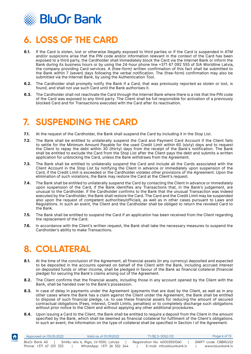<span id="page-6-0"></span>

# **6. LOSS OF THE CARD**

- **6.1.** If the Card is stolen, lost or otherwise illegally exposed to third parties or if the Card is suspended in ATM and/or suspicions arise that the PIN code and/or information relevant in the context of the Card has been exposed to a third party, the Cardholder shall immediately block the Card via the Internet Bank or inform the Bank during its business hours or by using the 24-hour phone line +371 67 092 555 of SIA Worldline Latvia, the company providing Card services. A (free-form) written confirmation of this fact shall be submitted to the Bank within 7 (seven) days following the verbal notification. The (free-form) confirmation may also be submitted via the Internet Bank, by using the Authentication Tool.
- **6.2.** The Cardholder shall promptly notify the Bank if a Card, that was previously reported as stolen or lost, is found, and shall not use such Card until the Bank authorises it.
- **6.3.** The Cardholder shall not reactivate the Card through the Internet Bank where there is a risk that the PIN code of the Card was exposed to any third party. The Client shall be full responsible for activation of a previously blocked Card and for Transactions executed with the Card after its reactivation.

# **7. SUSPENDING THE CARD**

- **7.1.** At the request of the Cardholder, the Bank shall suspend the Card by including it in the Stop List.
- **7.2.** The Bank shall be entitled to unilaterally suspend the Card and Payment Card Account if the Client fails to settle for the Minimum Amount Payable for the used Credit Limit within 60 (sixty) days and to request the Client to repay the debt within 30 (thirty) days from the receipt of the Bank's notification. The Bank shall be entitled to exclude the Card from the Stop List after the Client pays the debt and submits a written application for unblocking the Card, unless the Bank withdraws from the Agreement.
- **7.3.** The Bank shall be entitled to unilaterally suspend the Card and include all the Cards associated with the Client Account in the Stop List by notifying the Client in advance or immediately upon suspension of the Card, if the Credit Limit is exceeded or the Cardholder violates other provisions of the Agreement. Upon the elimination of such violations, the Bank may restore the Card at the Client's request.
- **7.4.** The Bank shall be entitled to unilaterally suspend the Card by contacting the Client in advance or immediately upon suspension of the Card, if the Bank identifies any Transactions that, in the Bank's judgement, are unusual to the Cardholder. If the Cardholder confirms to the Bank that the unusual Transaction was indeed executed by the Cardholder, the Bank shall restore the Card. The Card and the Credit Limit may be suspended also upon the request of competent authorities/officials, as well as in other cases pursuant to Laws and Regulations. In such an event, the Client and the Cardholder shall be obliged to return the revoked Card to the Bank.
- **7.5.** The Bank shall be entitled to suspend the Card if an application has been received from the Client regarding the replacement of the Card.
- **7.6.** In accordance with the Client's written request, the Bank shall take the necessary measures to suspend the Cardholder's ability to make Transactions.

# **8. COLLATERAL**

- **8.1.** At the time of the conclusion of the Agreement, all financial assets (in any currency) deposited and expected to be deposited in the accounts opened on behalf of the Client with the Bank, including accrued interest on deposited funds or other income, shall be pledged in favour of the Bank as financial collateral (financial pledge) for securing the Bank's claims arising out of the Agreement.
- **8.2.** The Client confirms that the financial assets, including those in any account opened by the Client with the Bank, shall be handed over to the Bank's possession.
- **8.3.** In case of delay in payments under the Agreement (payments that are due) by the Client, as well as in any other cases where the Bank has a claim against the Client under the Agreement, the Bank shall be entitled to dispose of such financial pledge, i.e. to use these financial assets for reducing the amount of secured contractual obligations (Fees, Interest, Credit Limits, penalties) or to completely discharge such obligations without prior notice to the Client and without applying any other additional procedures.
- **8.4.** Upon issuing a Card to the Client, the Bank shall be entitled to require a deposit from the Client in the amount specified by the Bank, which shall be deemed as financial collateral for fulfilment of the Client's obligations. In such an event, the information on the type of collateral shall be specified in Section I of the Agreement.

| $\vert \bm{f} \vert$ | Approved on 05.05.2022 | Valid as of 01.09.2022                | T1/B2.3-3052/03              | Page 6 of 13         |
|----------------------|------------------------|---------------------------------------|------------------------------|----------------------|
| HOME                 | BluOr Bank AS          | Smilšu iela 6, Rīga, LV-1050, Latvija | Registration No. 40003551060 | SWIFT code: CBBRLV22 |
|                      | Phone: +371 67 031 333 | WhatsApp: +371 26 552 244             | E-mail: info@bluorbank.lv    | www.bluorbank.lv     |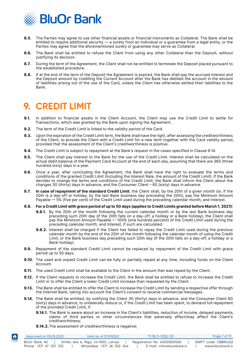<span id="page-7-0"></span>

- **8.5.** The Parties may agree to use other financial assets or financial instruments as Collateral. The Bank shall be entitled to require additional security — a surety from an individual or a guarantee from a legal entity, or the Parties may agree that the aforementioned surety or guarantee may serve as Collateral.
- **8.6.** The Bank shall be entitled to refuse the Client from using any other Collateral than the Deposit, without justifying its decision.
- **8.7.** During the term of the Agreement, the Client shall not be entitled to terminate the Deposit placed pursuant to the established procedure.
- **8.8.** If at the end of the term of the Deposit the Agreement is expired, the Bank shall pay the accrued interest and the Deposit amount by crediting the Current Account after the Bank has debited the account in the amount of liabilities arising out of the use of the Card, unless the Client has otherwise settled their liabilities to the Bank.

# **9. CREDIT LIMIT**

- **9.1.** In addition to financial assets in the Client Account, the Client may use the Credit Limit to settle for Transactions, which was granted by the Bank upon signing the Agreement.
- **9.2.** The term of the Credit Limit is linked to the validity period of the Card.
- **9.3.** Upon the expiration of the Credit Limit term, the Bank shall have the right, after assessing the creditworthiness of the Client, to provide the Client with a Credit Limit for a new term together with the Card validity period, provided that the assessment of the Client's creditworthiness is positive.
- **9.4.** The Credit Limit is subject to repayment at the Bank's request in the cases specified in Clause 9.14.
- **9.5.** The Client shall pay interest to the Bank for the use of the Credit Limit. Interest shall be calculated on the actual debit balance of the Payment Card Account at the end of each day, assuming that there are 360 (three hundred sixty) days in a year.
- **9.6.** Once a year, after concluding the Agreement, the Bank shall have the right to evaluate the terms and conditions of the granted Credit Limit (including the Interest Rate, the amount of the Credit Limit). If the Bank decides to change the terms and conditions of the Credit Limit, the Bank shall inform the Client about the changes 30 (thirty) days in advance, and the Consumer Client – 60 (sixty) days in advance.
- **9.7. In case of repayment of the standard Credit Limit**, the Client shall, by the 20th of a given month (or, if the 20th is a day-off or holiday, by the last Bank business day preceding the 20th), pay the Minimum Amount Payable — 5% (five per cent) of the Credit Limit used during the preceding calendar month, and Interest.
- **9.8. For a Credit Limit with grace period of up to 50 days (applies to Credit Limits granted before March 1, 2021):**
	- **9.8.1.** By the 20th of the month following the current calendar month or by the last Bank business day preceding such 20th day (if the 20th falls on a day-off, a holiday or a Bank holiday), the Client shall pay the Minimum Amount Payable — 100% (one hundred percent) of the Credit Limit used during the preceding calendar month, and Interest, if such are calculated.
	- **9.8.2.** Interest shall be charged if the Client has failed to repay the Credit Limit used during the previous calendar month by the end of the 20th of the month following the calendar month of using the Credit Limit, or the Bank business day preceding such 20th day (if the 20th falls on a day-off, a holiday or a Bank holiday).
- **9.9.** Repayment of the standard Credit Limit cannot be replaced by repayment of the Credit Limit with grace period up to 50 days.
- **9.10.** The used and unpaid Credit Limit can be fully or partially repaid at any time, including funds on the Client Account.
- **9.11.** The used Credit Limit shall be available to the Client in the amount that was repaid by the Client.
- **9.12.** If the Client requests to increase the Credit Limit, the Bank shall be entitled to refuse to increase the Credit Limit or to offer the Client a lower Credit Limit increase than requested by the Client.
- **9.13.** The Bank shall be entitled to offer the Client to increase the Credit Limit by sending a respective offer through the Internet Bank, taking into account the Client's consent to receive commercial messages.
- **9.14.** The Bank shall be entitled, by notifying the Client 30 (thirty) days in advance, and the Consumer Client 60 (sixty) days in advance, to unilaterally reduce or, if the Credit Limit has been spent, to demand full repayment of the provided Credit Limit, if:
	- **9.14.1.** The Bank is aware about an increase in the Client's liabilities, reduction of income, delayed payments, claims of third parties or other circumstances that adversely affect/may affect the Client's creditworthiness;
	- **9.14.2.**The assessment of creditworthiness is negative;

| <b>A</b> | Approved on 05.05.2022                  |                                       | Valid as of 01.09.2022    | T1/B2.3-3052/03                                           | Page 7 of 13                             |
|----------|-----------------------------------------|---------------------------------------|---------------------------|-----------------------------------------------------------|------------------------------------------|
| HOME     | BluOr Bank AS<br>Phone: +371 67 031 333 | Smilšu iela 6, Rīga, LV-1050, Latvija | WhatsApp: +371 26 552 244 | Registration No. 40003551060<br>E-mail: info@bluorbank.lv | SWIFT code: CBBRLV22<br>www.bluorbank.lv |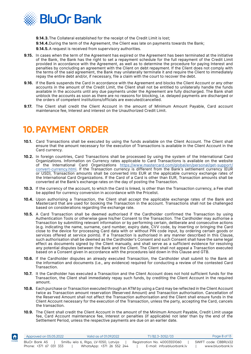<span id="page-8-0"></span>

**9.14.3.**The Collateral established for the receipt of the Credit Limit is lost;

**9.14.4.**During the term of the Agreement, the Client was late on payments towards the Bank;

**9.14.5.**A request is received from supervisory authorities.

- **9.15.** In cases when the term of the Agreement has expired or the Agreement has been terminated at the initiative of the Bank, the Bank has the right to set a repayment schedule for the full repayment of the Credit Limit provided in accordance with the Agreement, as well as to determine the procedure for paying Interest and penalties by concluding an agreement with the Client on debt repayment. If the Client does not comply with the terms of the said agreement, the Bank may unilaterally terminate it and require the Client to immediately repay the entire debt and/or, if necessary, file a claim with the court to recover the debt.
- **9.16.** If the Bank suspends the Card in accordance with the Agreement and blocks the Client Account or any other accounts in the amount of the Credit Limit, the Client shall not be entitled to unilaterally handle the funds available in the accounts until any due payments under the Agreement are fully discharged. The Bank shall unblock the accounts as soon as there are no reasons for blocking, i.e. delayed payments are discharged or the orders of competent institutions/officials are executed/cancelled.
- **9.17.** The Client shall credit the Client Account in the amount of Minimum Amount Payable, Card account maintenance fee, Interest and interest on the Unauthorized Credit Limit.

# **10.PAYMENT ORDER**

- 10.1. Card Transactions shall be executed by using the funds available on the Client Account. The Client shall ensure that the amount necessary for the execution of Transactions is available in the Client Account in the Card currency.
- **10.2.** In foreign countries, Card Transactions shall be processed by using the system of the International Card Organizations. Information on Currency rates applicable to Card Transactions is available on the website of the International Card Organizations [https://www.mastercard.com/global/en/personal/get-support/](https://www.mastercard.com/global/en/personal/get-support/convert-currency.html) [convert-currency.html](https://www.mastercard.com/global/en/personal/get-support/convert-currency.html). If the Transaction currency is different from the Bank's settlement currency (EUR or USD), Transaction amounts shall be converted into EUR at the applicable currency exchange rates of the International Card Organizations. If the Card of a Card is other than EUR, Transaction amounts shall be converted at the Bank's exchange rates on the day of posting the Transaction.
- **10.3.** If the currency of the account, to which the Card is linked, is other than the Transaction currency, a Fee shall be applied for currency conversion in accordance with the Pricelist.
- **10.4.** Upon authorising a Transaction, the Client shall accept the applicable exchange rates of the Bank and Mastercard that are used for booking the Transaction in the account. Transactions shall not be challenged based on considerations regarding the exchange rate.
- **10.5.** A Card Transaction shall be deemed authorised if the Cardholder confirmed the Transaction by using Authentication Tools or otherwise gave his/her Consent to the Transaction. The Cardholder may authorise a Transaction by submitting relevant information or by performing certain, deliberate and consecutive actions (e.g. indicating the name, surname, card number, expiry date, CVV code, by inserting or bringing the Card close to the device for processing Card data with or without PIN code input, by ordering certain goods or services offered at service points). If a Transaction is authorised in any manner described in this Clause, such authorisation shall be deemed as the Cardholder's Consent and such Consent shall have the same legal effect as documents signed by the Client manually, and shall serve as a sufficient evidence for resolving any potential disputes between the Bank and the Client. The Client shall not appeal a Transaction executed based on a Consent given in accordance with the procedures laid down in this Clause and GTB.
- **10.6.** If the Cardholder disputes an already executed Transaction, the Cardholder shall submit to the Bank all the information and documents (i.e., any evidence) required for conducting a review of the contested Card Transaction.
- **10.7.** It the Cardholder has executed a Transaction and the Client Account does not hold sufficient funds for the Transaction, the Client shall immediately repay such funds, by crediting the Client Account in the required amount.
- **10.8.** Each purchase or Transaction executed through an ATM by using a Card may be reflected in the Client Account twice as Transaction amount reservation (Reserved Amount) and Transaction authorisation. Cancellation of the Reserved Amount shall not affect the Transaction authorisation and the Client shall ensure funds in the Client Account necessary for the execution of the Transaction, unless the party, accepting the Card, cancels the transaction.
- **10.9.** The Client shall credit the Client Account in the amount of the Minimum Amount Payable, Credit Limit usage fee, Card Account maintenance fee, Interest or penalties (if applicable) not later than by the end of the Settlement Period, unless the respective payments are due on an earlier date.

| $\blacktriangleleft$ | Approved on 05.05.2022 | Valid as of 01.09.2022                | T1/B2.3-3052/03              | Page 8 of 13         |
|----------------------|------------------------|---------------------------------------|------------------------------|----------------------|
| номе                 | BluOr Bank AS          | Smilšu iela 6, Rīga, LV-1050, Latvija | Registration No. 40003551060 | SWIFT code: CBBRLV22 |
|                      | Phone: +371 67 031 333 | WhatsApp: +371 26 552 244             | E-mail: info@bluorbank.lv    | www.bluorbank.lv     |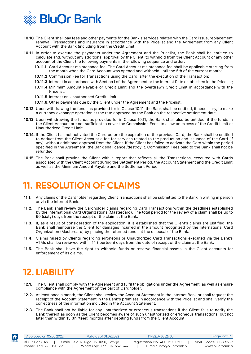<span id="page-9-0"></span>

- **10.10**. The Client shall pay fees and other payments for the Bank's services related with the Card issue, replacement, renewal, Transactions and insurance in accordance with the Pricelist and the Agreement from any Client Account with the Bank (including from the Credit Limit).
- **10.11**. In order to execute the payments under the Agreement and the Pricelist, the Bank shall be entitled to calculate and, without any additional approval by the Client, to withhold from the Client Account or any other account of the Client the following payments in the following sequence and order:
	- **10.11.1**. Card Account maintenance fee. The Card Account maintenance fee shall be applicable starting from the month when the Card Account was opened and withheld until the 5th of the current month;
	- **10.11.2**.Commission Fee for Transactions using the Card, after the execution of the Transaction;
	- **10.11.3**. Interest in accordance with Section I of the Agreement or the Interest Rate established in the Pricelist;
	- **10.11.4**.Minimum Amount Payable or Credit Limit and the overdrawn Credit Limit in accordance with the Pricelist;
	- **10.11.5**. Interest on Unauthorised Credit Limit;
	- **10.11.6**. Other payments due by the Client under the Agreement and the Pricelist.
- **10.12**. Upon withdrawing the funds as provided for in Clause 10.11, the Bank shall be entitled, if necessary, to make a currency exchange operation at the rate approved by the Bank on the respective settlement date.
- **10.13**. Upon withdrawing the funds as provided for in Clause 10.11, the Bank shall also be entitled, if the funds in the Client Account are not sufficient to cover the Commission Fees, to allow an excess of the Credit Limit or Unauthorized Credit Limit.
- **10.14**. If the Client has not activated the Card before the expiration of the previous Card, the Bank shall be entitled to deduct from the Client Account a fee for services related to the production and issuance of the Card (if any), without additional approval from the Client. If the Client has failed to activate the Card within the period specified in the Agreement, the Bank shall cancel/destroy it. Commission Fees paid to the Bank shall not be refunded
- **10.15**. The Bank shall provide the Client with a report that reflects all the Transactions, executed with Cards associated with the Client Account during the Settlement Period, the Account Statement and the Credit Limit, as well as the Minimum Amount Payable and the Settlement Period.

# **11. RESOLUTION OF CLAIMS**

- **11.1.** Any claims of the Cardholder regarding Client Transactions shall be submitted to the Bank in writing in person or via the Internet Bank.
- **11.2.** The Bank shall review the Cardholder claims regarding Card Transactions within the deadlines established by the International Card Organizations (Mastercard). The total period for the review of a claim shall be up to 60 (sixty) days from the receipt of the claim at the Bank.
- **11.3.** If, as a result of consideration of the application, it is established that the Client's claims are justified, the Bank shall reimburse the Client for damages incurred in the amount recognized by the International Card Organization (Mastercard) by placing the returned funds at the disposal of the Bank.
- **11.4.** Claims raised by Clients regarding erroneous or Unauthorized Card Transactions executed via the Bank's ATMs shall be reviewed within 14 (fourteen) days from the date of receipt of the claim at the Bank.
- **11.5.** The Bank shall have the right to withhold funds or reserve financial assets in the Client accounts for enforcement of its claims.

# **12. LIABILITY**

- **12.1.** The Client shall comply with the Agreement and fulfil the obligations under the Agreement, as well as ensure compliance with the Agreement on the part of Cardholder.
- **12.2.** At least once a month, the Client shall review the Account Statement in the Internet Bank or shall request the receipt of the Account Statement in the Bank's premises in accordance with the Pricelist and shall verify the correctness of the information included in the Account Statement.
- **12.3.** The Bank shall not be liable for any unauthorized or erroneous transactions if the Client fails to notify the Bank thereof as soon as the Client becomes aware of such unauthorized or erroneous transactions, but not later than within 13 (thirteen) months after debiting funds from the Client Account.

| $\blacktriangleleft$ | Approved on 05.05.2022 | Valid as of 01.09.2022                | T1/B2.3-3052/03              | Page 9 of 13         |
|----------------------|------------------------|---------------------------------------|------------------------------|----------------------|
| HOME                 | BluOr Bank AS          | Smilšu iela 6, Rīga, LV-1050, Latvija | Registration No. 40003551060 | SWIFT code: CBBRLV22 |
|                      | Phone: +371 67 031 333 | WhatsApp: +371 26 552 244             | E-mail: info@bluorbank.lv    | www.bluorbank.lv     |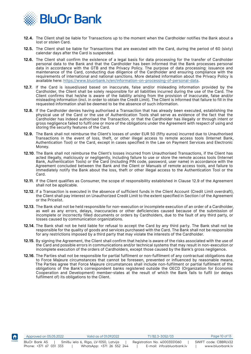

- **12.4.** The Client shall be liable for Transactions up to the moment when the Cardholder notifies the Bank about a lost or stolen Card.
- **12.5.** The Client shall be liable for Transactions that are executed with the Card, during the period of 60 (sixty) calendar days after the Card is suspended.
- **12.6.** The Client shall confirm the existence of a legal basis for data processing for the transfer of Cardholder personal data to the Bank and that the Cardholder has been informed that the Bank processes personal data in accordance with the GTB and the Privacy Policy. The purpose of data processing: issuance and maintenance of the Card, conducting due diligence of the Cardholder and ensuring compliance with the requirements of international and national sanctions. More detailed information about the Privacy Policy is available here: [https://www.bluorbank.lv/en/information-on-processing-of-personal-data.](https://www.bluorbank.lv/en/information-on-processing-of-personal-data)
- **12.7.** If the Card is issued/used based on inaccurate, false and/or misleading information provided by the Cardholder, the Client shall be solely responsible for all liabilities incurred during the use of the Card. The Client confirms that he/she is aware of the liability arising from the provision of inaccurate, false and/or misleading information (incl. in order to obtain the Credit Limit). The Client is informed that failure to fill in the requested information shall be deemed to be the absence of such information.
- **12.8.** If the Cardholder denies having authorised a Transaction that has already been executed, establishing the physical use of the Card or the use of Authentication Tools shall serve as evidence of the fact that the Cardholder has indeed authorised the Transaction, or that the Cardholder has illegally or through intent or gross negligence failed to fulfil one or more of the obligations under the Agreement with respect of using and storing the security features of the Card.
- **12.9.** The Bank shall not reimburse the Client's losses of under EUR 50 (fifty euros) incurred due to Unauthorised Transactions in the event of loss, theft, or other illegal access to remote access tools (Internet Bank, Authentication Tool) or the Card, except in cases specified in the Law on Payment Services and Electronic Money.
- **12.10**. The Bank shall not reimburse the Client's losses incurred from Unauthorised Transactions, if the Client has acted illegally, maliciously or negligently, including failure to use or store the remote access tools (Internet Bank, Authentication Tools) or the Card (including PIN code, password, user name) in accordance with the Agreement concluded between the Bank and the Client or Manuals of remote access tools, and failure to immediately notify the Bank about the loss, theft or other illegal access to the Authentication Tool or the Card.
- **12.11**. If the Client qualifies as Consumer, the scope of responsibility established in Clause 12.9 of the Agreement shall not be applicable.
- **12.12**. If a Transaction is executed in the absence of sufficient funds in the Client Account (Credit Limit overdraft), the Client shall pay interest on Unauthorized Credit Limit to the extent specified in Section I of the Agreement or the Pricelist.
- **12.13**. The Bank shall not be held responsible for non-execution or incomplete execution of an order of a Cardholder, as well as any errors, delays, inaccuracies or other deficiencies caused because of the submission of incomplete or incorrectly filled documents or orders by Cardholders, due to the fault of any third party, or losses caused by communication organizations.
- **12.14**. The Bank shall not be held liable for refusal to accept the Card by any third party. The Bank shall not be responsible for the quality of goods and services purchased with the Card. The Bank shall not be responsible for any restrictions imposed by a third party that may violate the interests of the Cardholder.
- **12.15**. By signing the Agreement, the Client shall confirm that he/she is aware of the risks associated with the use of the Card and possible errors in communications and/or technical systems that may result in non-execution or incomplete execution of the orders of Cardholders, except those caused by the Bank's gross negligence.
- **12.16**. The Parties shall not be responsible for partial fulfilment or non-fulfilment of any contractual obligations due to Force Majeure circumstances that cannot be foreseen, prevented or influenced by reasonable means. The Parties agree that Force Majeure circumstances shall include non-fulfilment or partial fulfilment of the obligations of the Bank's correspondent banks registered outside the OECD (Organization for Economic Cooperation and Development) member-states at the result of which the Bank fails to fulfil (or delays fulfilment of) its obligations to the Client.

IA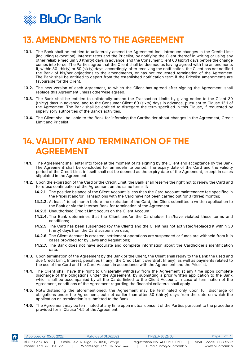<span id="page-11-0"></span>

# **13. AMENDMENTS TO THE AGREEMENT**

- **13.1.** The Bank shall be entitled to unilaterally amend the Agreement incl. introduce changes in the Credit Limit (including revocation), Interest rates and the Pricelist, by notifying the Client thereof in writing or using any other reliable medium 30 (thirty) days in advance, and the Consumer Client 60 (sixty) days before the change comes into force. The Parties agree that the Client shall be deemed as having agreed with the amendments if, within 30 (thirty) or 60 (sixty) days, accordingly, after receiving the notification, the Client has not notified the Bank of his/her objections to the amendments, or has not requested termination of the Agreement. The Bank shall be entitled to depart from the established notification term if the Pricelist amendments are favourable for the Client.
- **13.2.** The new version of each Agreement, to which the Client has agreed after signing the Agreement, shall replace this Agreement unless otherwise agreed.
- **13.3.** The Bank shall be entitled to unilaterally amend the Transaction Limits by giving notice to the Client 30 (thirty) days in advance, and to the Consumer Client 60 (sixty) days in advance, pursuant to Clause 13.1 of the Agreement. The Bank shall be entitled to disregard the term specified in this Clause, if requested by supervisory authorities of the Bank's activities.
- **13.4.** The Client shall be liable to the Bank for informing the Cardholder about changes in the Agreement, Credit Limit and Pricelist.

#### **14.VALIDITY AND TERMINATION OF THE AGREEMENT**

- **14.1.** The Agreement shall enter into force at the moment of its signing by the Client and acceptance by the Bank. The Agreement shall be concluded for an indefinite period. The expiry date of the Card and the validity period of the Credit Limit in itself shall not be deemed as the expiry date of the Agreement, except in cases stipulated in the Agreement.
- **14.2.** Upon the expiration of the Card or the Credit Limit, the Bank shall reserve the right not to renew the Card and to refuse continuation of the Agreement on the same terms if:
	- **14.2.1.** The positive balance of the Client Account is less than the Card Account maintenance fee specified in the Pricelist and/or Transactions with the Card have not been carried out for 3 (three) months;
	- **14.2.2.** At least 1 (one) month before the expiration of the Card, the Client submitted a written application to the Bank or via the Internet Bank for termination of the Agreement;
	- **14.2.3.** Unauthorised Credit Limit occurs on the Client Account;

- **14.2.4.** The Bank determines that the Client and/or the Cardholder has/have violated these terms and conditions;
- **14.2.5.** The Card has been suspended (by the Client) and the Client has not activated/replaced it within 30 (thirty) days from the Card suspension date;
- **14.2.6.** The Client Account is arrested, settlement operations are suspended or funds are withheld from it in cases provided for by Laws and Regulations;
- **14.2.7.** The Bank does not have accurate and complete information about the Cardholder's identification data.
- **14.3.** Upon termination of the Agreement by the Bank or the Client, the Client shall repay to the Bank the used and due Credit Limit, Interest, penalties (if any), the Credit Limit overdraft (if any), as well as payments related to the use of the Card and the Card Account in accordance with the Agreement and the Pricelist.
- **14.4.** The Client shall have the right to unilaterally withdraw from the Agreement at any time upon complete discharge of the obligations under the Agreement, by submitting a prior written application to the Bank, which shall be accompanied by all the Cards linked to the Client Account. In case of termination of the Agreement, conditions of the Agreement regarding the financial collateral shall apply.
- **14.5.** Notwithstanding the aforementioned, the Agreement may be terminated only upon full discharge of obligations under the Agreement, but not earlier than after 30 (thirty) days from the date on which the application on termination is submitted to the Bank.
- **14.6.** The Agreement may be terminated at any time upon mutual consent of the Parties pursuant to the procedure provided for in Clause 14.5 of the Agreement.

| $\blacktriangleleft$ | Approved on 05.05.2022 | Valid as of 01.09.2022                | T1/B2.3-3052/03              | Page 11 of 13        |
|----------------------|------------------------|---------------------------------------|------------------------------|----------------------|
| HOME                 | BluOr Bank AS          | Smilšu iela 6, Rīga, LV-1050, Latvija | Registration No. 40003551060 | SWIFT code: CBBRLV22 |
|                      | Phone: +371 67 031 333 | WhatsApp: +371 26 552 244             | E-mail: info@bluorbank.lv    | www.bluorbank.lv     |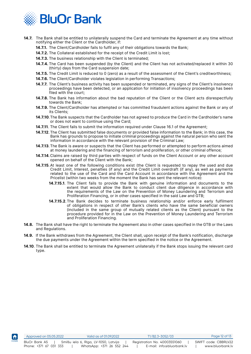

Ħ

- **14.7.** The Bank shall be entitled to unilaterally suspend the Card and terminate the Agreement at any time without notifying either the Client or the Cardholder, if:
	- **14.7.1.** The Client/Cardholder fails to fulfil any of their obligations towards the Bank;
	- **14.7.2.** The Collateral established for the receipt of the Credit Limit is lost;
	- **14.7.3.** The business relationship with the Client is terminated;
	- **14.7.4.** The Card has been suspended (by the Client) and the Client has not activated/replaced it within 30 (thirty) days from the Card suspension date;
	- **14.7.5.** The Credit Limit is reduced to 0 (zero) as a result of the assessment of the Client's creditworthiness;
	- **14.7.6.** The Client/Cardholder violates legislation in performing Transactions;
	- **14.7.7.** The Client's business activity has been suspended or terminated, any signs of the Client's insolvency proceedings have been detected, or an application for initiation of insolvency proceedings has been filed with the court;
	- **14.7.8.** The Bank has information about the bad reputation of the Client or the Client acts disrespectfully towards the Bank;
	- **14.7.9.** The Client/Cardholder has attempted or has committed fraudulent actions against the Bank or any of its Clients;
	- **14.7.10**.The Bank suspects that the Cardholder has not agreed to produce the Card in the Cardholder's name or does not want to continue using the Card;
	- **14.7.11**. The Client fails to submit the information required under Clause 16.1 of the Agreement;
	- **14.7.12**.The Client has submitted false documents or provided false information to the Bank; in this case, the Bank has grounds to propose to initiate criminal proceedings against the natural person who sent the information in accordance with the relevant provision of the Criminal Law;
	- **14.7.13**.The Bank is aware or suspects that the Client has performed or attempted to perform actions aimed at money laundering and the financing of terrorism and proliferation, or other criminal offence;
	- **14.7.14**.Claims are raised by third parties with respect of funds on the Client Account or any other account opened on behalf of the Client with the Bank;
	- **14.7.15**. At least one of the following conditions exist (the Client is requested to repay the used and due Credit Limit, Interest, penalties (if any) and the Credit Limit overdraft (if any), as well as payments related to the use of the Card and the Card Account in accordance with the Agreement and the Pricelist (within two weeks from the moment the Bank has sent the relevant notice):
		- **14.7.15.1**. The Client fails to provide the Bank with genuine information and documents to the extent that would allow the Bank to conduct client due diligence in accordance with the requirements of the Law on the Prevention of Money Laundering and Terrorism and Proliferation Financing, or in other cases specified in the said Law and GTB;
		- **14.7.15.2**.The Bank decides to terminate business relationship and/or enforce early fulfilment of obligations in respect of other Bank's clients who have the same beneficial owners (included in the same group of mutually related clients as the Client) pursuant to the procedure provided for in the Law on the Prevention of Money Laundering and Terrorism and Proliferation Financing.
- **14.8.** The Bank shall have the right to terminate the Agreement also in other cases specified in the GTB or the Laws and Regulations.
- **14.9.** If the Bank withdraws from the Agreement, the Client shall, upon receipt of the Bank's notification, discharge the due payments under the Agreement within the term specified in the notice or the Agreement.
- **14.10**. The Bank shall be entitled to terminate the Agreement unilaterally if the Bank stops issuing the relevant card type.